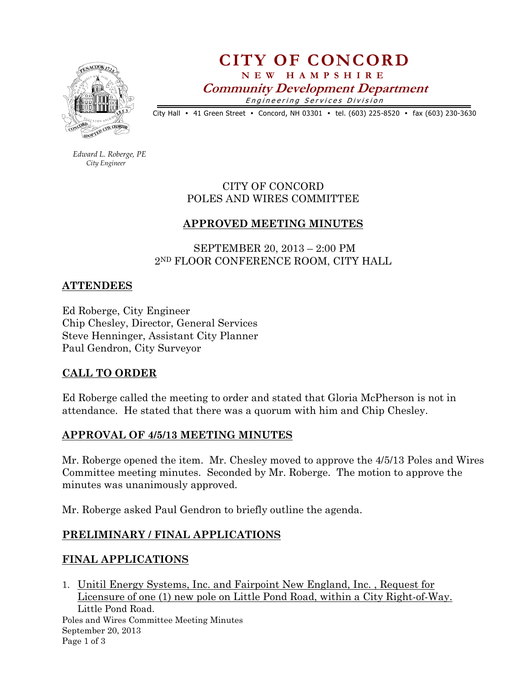

CITY OF CONCORD N E W H A M P S H I R E Community Development Department Engineering Services Division

City Hall • 41 Green Street • Concord, NH 03301 • tel. (603) 225-8520 • fax (603) 230-3630

 Edward L. Roberge, PE City Engineer

## CITY OF CONCORD POLES AND WIRES COMMITTEE

## APPROVED MEETING MINUTES

 SEPTEMBER 20, 2013 – 2:00 PM 2ND FLOOR CONFERENCE ROOM, CITY HALL

#### ATTENDEES

Ed Roberge, City Engineer Chip Chesley, Director, General Services Steve Henninger, Assistant City Planner Paul Gendron, City Surveyor

## CALL TO ORDER

Ed Roberge called the meeting to order and stated that Gloria McPherson is not in attendance. He stated that there was a quorum with him and Chip Chesley.

## APPROVAL OF 4/5/13 MEETING MINUTES

Mr. Roberge opened the item. Mr. Chesley moved to approve the 4/5/13 Poles and Wires Committee meeting minutes. Seconded by Mr. Roberge. The motion to approve the minutes was unanimously approved.

Mr. Roberge asked Paul Gendron to briefly outline the agenda.

## PRELIMINARY / FINAL APPLICATIONS

## FINAL APPLICATIONS

Poles and Wires Committee Meeting Minutes September 20, 2013 Page 1 of 3 1. Unitil Energy Systems, Inc. and Fairpoint New England, Inc. , Request for Licensure of one (1) new pole on Little Pond Road, within a City Right-of-Way. Little Pond Road.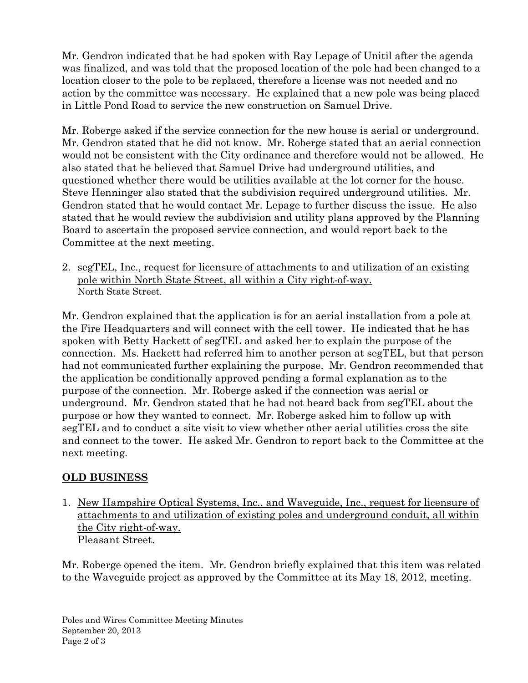Mr. Gendron indicated that he had spoken with Ray Lepage of Unitil after the agenda was finalized, and was told that the proposed location of the pole had been changed to a location closer to the pole to be replaced, therefore a license was not needed and no action by the committee was necessary. He explained that a new pole was being placed in Little Pond Road to service the new construction on Samuel Drive.

Mr. Roberge asked if the service connection for the new house is aerial or underground. Mr. Gendron stated that he did not know. Mr. Roberge stated that an aerial connection would not be consistent with the City ordinance and therefore would not be allowed. He also stated that he believed that Samuel Drive had underground utilities, and questioned whether there would be utilities available at the lot corner for the house. Steve Henninger also stated that the subdivision required underground utilities. Mr. Gendron stated that he would contact Mr. Lepage to further discuss the issue. He also stated that he would review the subdivision and utility plans approved by the Planning Board to ascertain the proposed service connection, and would report back to the Committee at the next meeting.

2. segTEL, Inc., request for licensure of attachments to and utilization of an existing pole within North State Street, all within a City right-of-way. North State Street.

Mr. Gendron explained that the application is for an aerial installation from a pole at the Fire Headquarters and will connect with the cell tower. He indicated that he has spoken with Betty Hackett of segTEL and asked her to explain the purpose of the connection. Ms. Hackett had referred him to another person at segTEL, but that person had not communicated further explaining the purpose. Mr. Gendron recommended that the application be conditionally approved pending a formal explanation as to the purpose of the connection. Mr. Roberge asked if the connection was aerial or underground. Mr. Gendron stated that he had not heard back from segTEL about the purpose or how they wanted to connect. Mr. Roberge asked him to follow up with segTEL and to conduct a site visit to view whether other aerial utilities cross the site and connect to the tower. He asked Mr. Gendron to report back to the Committee at the next meeting.

# OLD BUSINESS

1. New Hampshire Optical Systems, Inc., and Waveguide, Inc., request for licensure of attachments to and utilization of existing poles and underground conduit, all within the City right-of-way. Pleasant Street.

Mr. Roberge opened the item. Mr. Gendron briefly explained that this item was related to the Waveguide project as approved by the Committee at its May 18, 2012, meeting.

Poles and Wires Committee Meeting Minutes September 20, 2013 Page 2 of 3